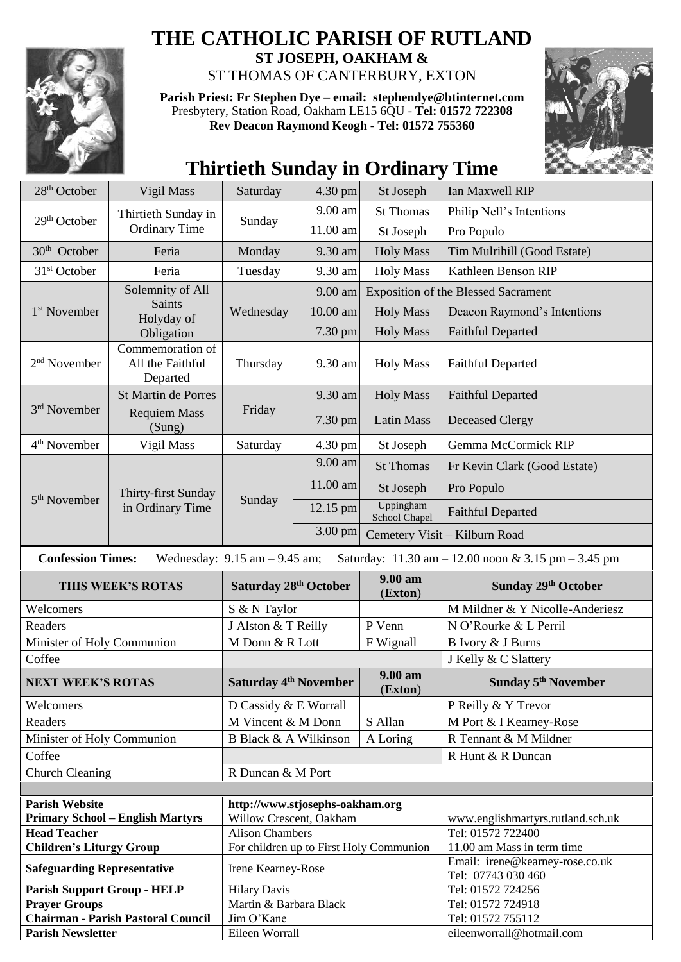

## **THE CATHOLIC PARISH OF RUTLAND**

**ST JOSEPH, OAKHAM &**  ST THOMAS OF CANTERBURY, EXTON

**Parish Priest: Fr Stephen Dye** – **[email: stephendye@btinternet.com](mailto:email:%20%20stephendye@btinternet.com)** Presbytery, Station Road, Oakham LE15 6QU - **Tel: 01572 722308 Rev Deacon Raymond Keogh - Tel: 01572 755360**



## **Thirtieth Sunday in Ordinary Time**

| 28 <sup>th</sup> October                                                                                                                                | Vigil Mass                                  | Saturday                             | 4.30 pm                                  | St Joseph                               | Ian Maxwell RIP                                 |  |
|---------------------------------------------------------------------------------------------------------------------------------------------------------|---------------------------------------------|--------------------------------------|------------------------------------------|-----------------------------------------|-------------------------------------------------|--|
| 29 <sup>th</sup> October                                                                                                                                | Thirtieth Sunday in<br><b>Ordinary Time</b> | Sunday                               | 9.00 am                                  | <b>St Thomas</b>                        | Philip Nell's Intentions                        |  |
|                                                                                                                                                         |                                             |                                      | 11.00 am                                 | St Joseph                               | Pro Populo                                      |  |
| $30th$ October                                                                                                                                          | Feria                                       | Monday                               | 9.30 am                                  | <b>Holy Mass</b>                        | Tim Mulrihill (Good Estate)                     |  |
| 31 <sup>st</sup> October                                                                                                                                | Feria                                       | Tuesday                              | 9.30 am                                  | <b>Holy Mass</b>                        | Kathleen Benson RIP                             |  |
|                                                                                                                                                         | Solemnity of All                            |                                      | 9.00 am                                  |                                         | <b>Exposition of the Blessed Sacrament</b>      |  |
| 1 <sup>st</sup> November                                                                                                                                | Saints                                      | Wednesday                            | 10.00 am                                 | <b>Holy Mass</b>                        | Deacon Raymond's Intentions                     |  |
|                                                                                                                                                         | Holyday of                                  |                                      | 7.30 pm                                  | <b>Holy Mass</b>                        | <b>Faithful Departed</b>                        |  |
|                                                                                                                                                         | Obligation<br>Commemoration of              |                                      |                                          |                                         |                                                 |  |
| 2 <sup>nd</sup> November                                                                                                                                | All the Faithful<br>Departed                | Thursday                             | 9.30 am                                  | <b>Holy Mass</b>                        | <b>Faithful Departed</b>                        |  |
|                                                                                                                                                         | St Martin de Porres                         | Friday                               | 9.30 am                                  | <b>Holy Mass</b>                        | <b>Faithful Departed</b>                        |  |
| 3rd November                                                                                                                                            | <b>Requiem Mass</b><br>(Sung)               |                                      | 7.30 pm                                  | Latin Mass                              | <b>Deceased Clergy</b>                          |  |
| 4 <sup>th</sup> November                                                                                                                                | Vigil Mass                                  | Saturday                             | 4.30 pm                                  | St Joseph                               | Gemma McCormick RIP                             |  |
|                                                                                                                                                         | Thirty-first Sunday<br>in Ordinary Time     | Sunday                               | 9.00 am                                  | <b>St Thomas</b>                        | Fr Kevin Clark (Good Estate)                    |  |
| $5th$ November                                                                                                                                          |                                             |                                      | 11.00 am                                 | St Joseph                               | Pro Populo                                      |  |
|                                                                                                                                                         |                                             |                                      | 12.15 pm                                 | Uppingham<br>School Chapel              | <b>Faithful Departed</b>                        |  |
|                                                                                                                                                         |                                             |                                      | 3.00 pm<br>Cemetery Visit - Kilburn Road |                                         |                                                 |  |
| <b>Confession Times:</b><br>Wednesday: $9.15$ am $- 9.45$ am;<br>Saturday: $11.30 \text{ am} - 12.00 \text{ noon} \& 3.15 \text{ pm} - 3.45 \text{ pm}$ |                                             |                                      |                                          |                                         |                                                 |  |
|                                                                                                                                                         |                                             |                                      |                                          |                                         |                                                 |  |
|                                                                                                                                                         | THIS WEEK'S ROTAS                           | Saturday 28 <sup>th</sup> October    |                                          | 9.00 am<br>(Exton)                      | Sunday 29th October                             |  |
| Welcomers                                                                                                                                               |                                             | S & N Taylor                         |                                          |                                         | M Mildner & Y Nicolle-Anderiesz                 |  |
| Readers                                                                                                                                                 |                                             | J Alston & T Reilly                  |                                          | P Venn                                  | N O'Rourke & L Perril                           |  |
| Minister of Holy Communion                                                                                                                              |                                             | M Donn & R Lott                      |                                          | F Wignall                               | B Ivory & J Burns                               |  |
| Coffee                                                                                                                                                  |                                             |                                      |                                          |                                         | J Kelly & C Slattery                            |  |
| <b>NEXT WEEK'S ROTAS</b>                                                                                                                                |                                             | Saturday 4 <sup>th</sup> November    |                                          | 9.00 am<br>(Exton)                      | Sunday 5 <sup>th</sup> November                 |  |
| Welcomers                                                                                                                                               |                                             | D Cassidy & E Worrall                |                                          |                                         | P Reilly & Y Trevor                             |  |
| Readers                                                                                                                                                 |                                             | M Vincent & M Donn                   |                                          | S Allan                                 | M Port & I Kearney-Rose                         |  |
| Minister of Holy Communion                                                                                                                              |                                             | B Black & A Wilkinson                |                                          | A Loring                                | R Tennant & M Mildner                           |  |
| Coffee                                                                                                                                                  |                                             |                                      |                                          |                                         | R Hunt & R Duncan                               |  |
| <b>Church Cleaning</b>                                                                                                                                  |                                             | R Duncan & M Port                    |                                          |                                         |                                                 |  |
|                                                                                                                                                         |                                             |                                      |                                          |                                         |                                                 |  |
| <b>Parish Website</b>                                                                                                                                   |                                             |                                      | http://www.stjosephs-oakham.org          |                                         |                                                 |  |
|                                                                                                                                                         | <b>Primary School - English Martyrs</b>     | Willow Crescent, Oakham              |                                          |                                         | www.englishmartyrs.rutland.sch.uk               |  |
| <b>Head Teacher</b>                                                                                                                                     |                                             | <b>Alison Chambers</b>               |                                          |                                         | Tel: 01572 722400<br>11.00 am Mass in term time |  |
| <b>Children's Liturgy Group</b>                                                                                                                         |                                             |                                      |                                          | For children up to First Holy Communion | Email: irene@kearney-rose.co.uk                 |  |
| <b>Safeguarding Representative</b>                                                                                                                      |                                             | Irene Kearney-Rose                   |                                          |                                         | Tel: 07743 030 460                              |  |
| <b>Parish Support Group - HELP</b>                                                                                                                      |                                             | <b>Hilary Davis</b>                  |                                          |                                         | Tel: 01572 724256                               |  |
| <b>Prayer Groups</b>                                                                                                                                    | <b>Chairman - Parish Pastoral Council</b>   | Martin & Barbara Black<br>Jim O'Kane |                                          |                                         | Tel: 01572 724918<br>Tel: 01572 755112          |  |